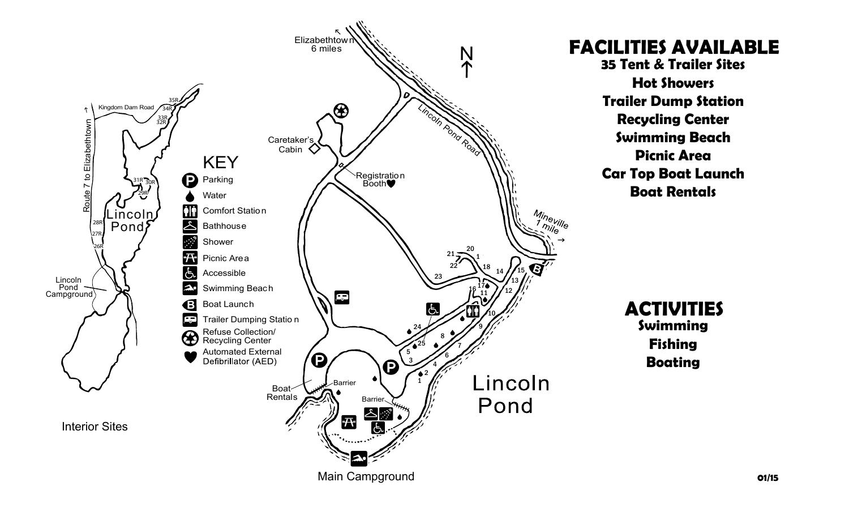

**FACILITIES AVAILABLE 35 Tent & Trailer Sites Hot Showers Trailer Dump Station Recycling Center Swimming Beach Picnic Area Car Top Boat Launch Boat Rentals**

**ACTIVITIES Swimming Fishing Boating**